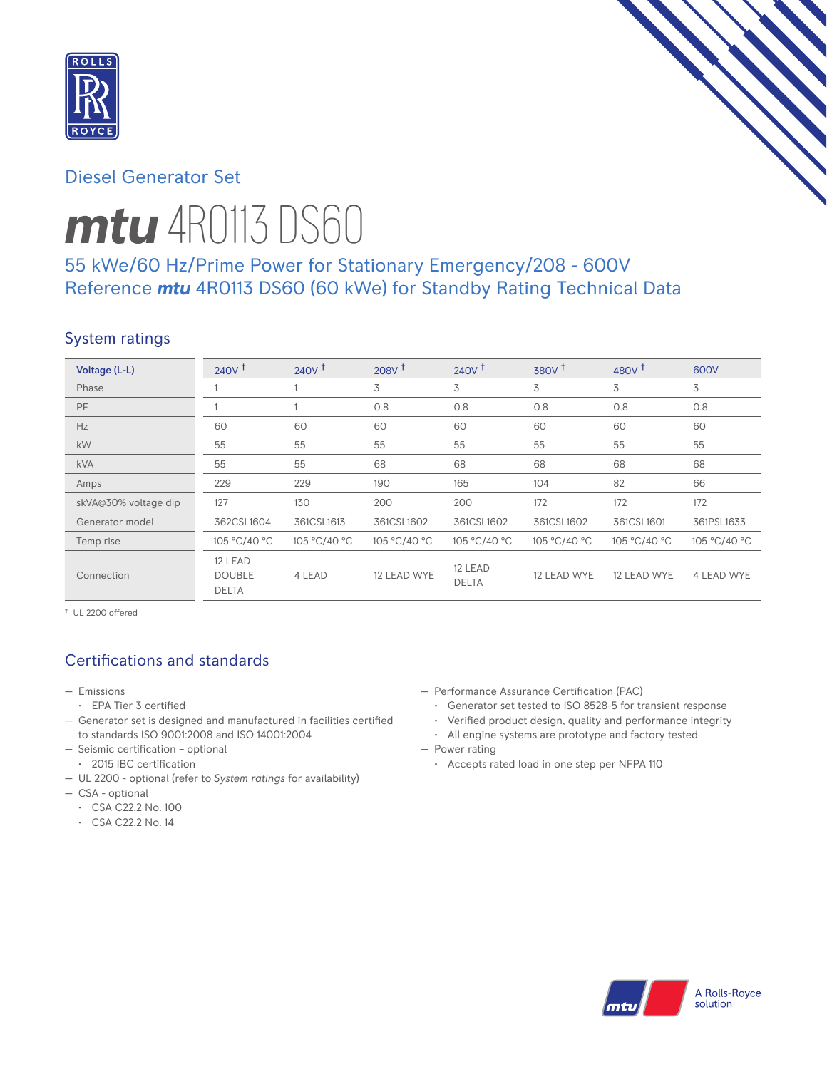

# Diesel Generator Set

# *mtu* 4R0113 DS60

# 55 kWe/60 Hz/Prime Power for Stationary Emergency/208 - 600V Reference *mtu* 4R0113 DS60 (60 kWe) for Standby Rating Technical Data

## System ratings

| Voltage (L-L)        | $240V$ <sup>+</sup>                      | 240V <sup>†</sup> | $208V$ <sup>t</sup> | 240V <sup>†</sup>       | 380V <sup>†</sup> | 480 $V†$     | 600V         |
|----------------------|------------------------------------------|-------------------|---------------------|-------------------------|-------------------|--------------|--------------|
| Phase                |                                          |                   | 3                   | 3                       | 3                 | 3            | 3            |
| PF                   |                                          |                   | 0.8                 | 0.8                     | 0.8               | 0.8          | 0.8          |
| Hz                   | 60                                       | 60                | 60                  | 60                      | 60                | 60           | 60           |
| kW                   | 55                                       | 55                | 55                  | 55                      | 55                | 55           | 55           |
| <b>kVA</b>           | 55                                       | 55                | 68                  | 68                      | 68                | 68           | 68           |
| Amps                 | 229                                      | 229               | 190                 | 165                     | 104               | 82           | 66           |
| skVA@30% voltage dip | 127                                      | 130               | 200                 | 200                     | 172               | 172          | 172          |
| Generator model      | 362CSL1604                               | 361CSL1613        | 361CSL1602          | 361CSL1602              | 361CSL1602        | 361CSL1601   | 361PSL1633   |
| Temp rise            | 105 °C/40 °C                             | 105 °C/40 °C      | 105 °C/40 °C        | 105 °C/40 °C            | 105 °C/40 °C      | 105 °C/40 °C | 105 °C/40 °C |
| Connection           | 12 LEAD<br><b>DOUBLE</b><br><b>DELTA</b> | 4 LEAD            | 12 LEAD WYE         | 12 LEAD<br><b>DELTA</b> | 12 LEAD WYE       | 12 LEAD WYE  | 4 LEAD WYE   |

† UL 2200 offered

# Certifications and standards

- Emissions
- EPA Tier 3 certified
- Generator set is designed and manufactured in facilities certified to standards ISO 9001:2008 and ISO 14001:2004
- Seismic certification optional
- 2015 IBC certification
- UL 2200 optional (refer to *System ratings* for availability)
- CSA optional
	- CSA C22.2 No. 100
	- CSA C22.2 No. 14
- Performance Assurance Certification (PAC)
	- Generator set tested to ISO 8528-5 for transient response
	- Verified product design, quality and performance integrity
- All engine systems are prototype and factory tested — Power rating
	- Accepts rated load in one step per NFPA 110

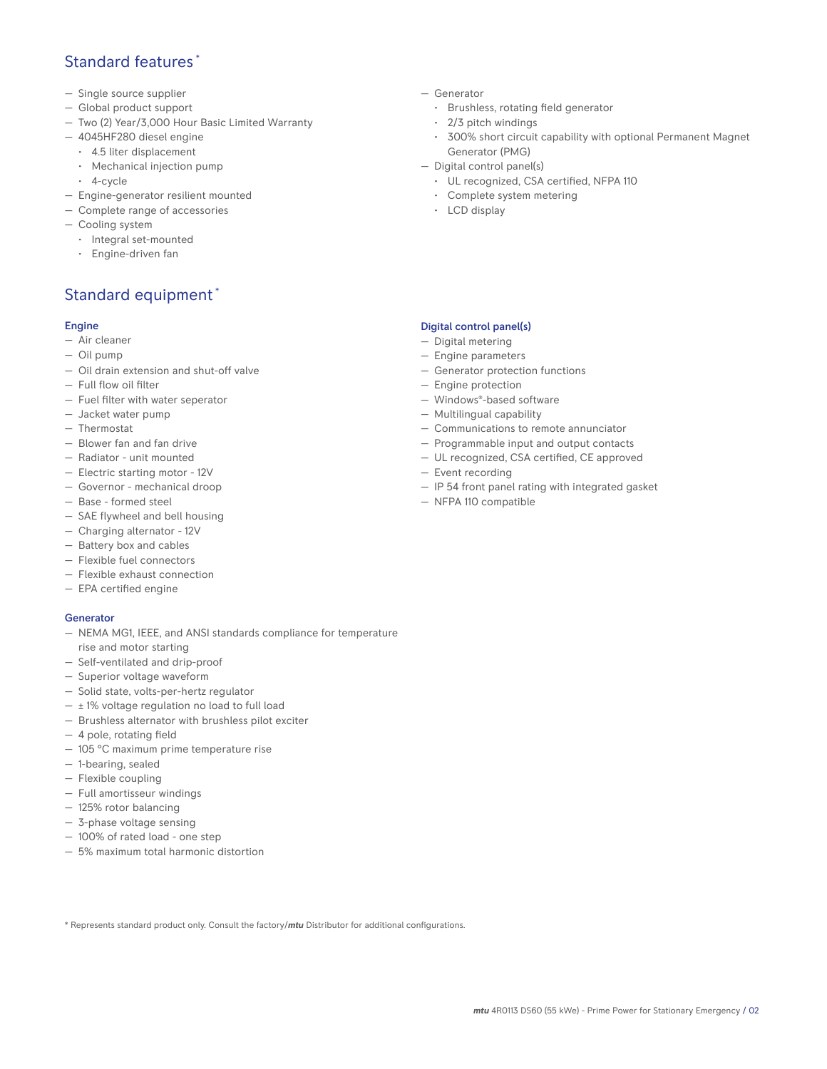## Standard features \*

- Single source supplier
- Global product support
- Two (2) Year/3,000 Hour Basic Limited Warranty
- 4045HF280 diesel engine
	- 4.5 liter displacement
	- Mechanical injection pump
	- 4-cycle
- Engine-generator resilient mounted
- Complete range of accessories
- Cooling system
- Integral set-mounted
- Engine-driven fan

# Standard equipment \*

## Engine

- Air cleaner
- Oil pump
- Oil drain extension and shut-off valve
- Full flow oil filter
- Fuel filter with water seperator
- Jacket water pump
- Thermostat
- Blower fan and fan drive
- Radiator unit mounted
- Electric starting motor 12V
- Governor mechanical droop
- Base formed steel
- SAE flywheel and bell housing
- Charging alternator 12V
- Battery box and cables
- Flexible fuel connectors
- Flexible exhaust connection
- EPA certified engine

## **Generator**

- NEMA MG1, IEEE, and ANSI standards compliance for temperature rise and motor starting
- Self-ventilated and drip-proof
- Superior voltage waveform
- Solid state, volts-per-hertz regulator
- $\pm$  1% voltage regulation no load to full load
- Brushless alternator with brushless pilot exciter
- 4 pole, rotating field
- 105 °C maximum prime temperature rise
- 1-bearing, sealed
- Flexible coupling
- Full amortisseur windings
- 125% rotor balancing
- 3-phase voltage sensing
- 100% of rated load one step
- 5% maximum total harmonic distortion
- Generator
	- Brushless, rotating field generator
	- 2/3 pitch windings
	- 300% short circuit capability with optional Permanent Magnet Generator (PMG)
- Digital control panel(s)
	- UL recognized, CSA certified, NFPA 110
	- Complete system metering
	- LCD display

## Digital control panel(s)

- Digital metering
- Engine parameters
- Generator protection functions
- Engine protection
- Windows®-based software
- Multilingual capability
- Communications to remote annunciator
- Programmable input and output contacts
- UL recognized, CSA certified, CE approved
- Event recording
- IP 54 front panel rating with integrated gasket
- NFPA 110 compatible

\* Represents standard product only. Consult the factory/*mtu* Distributor for additional configurations.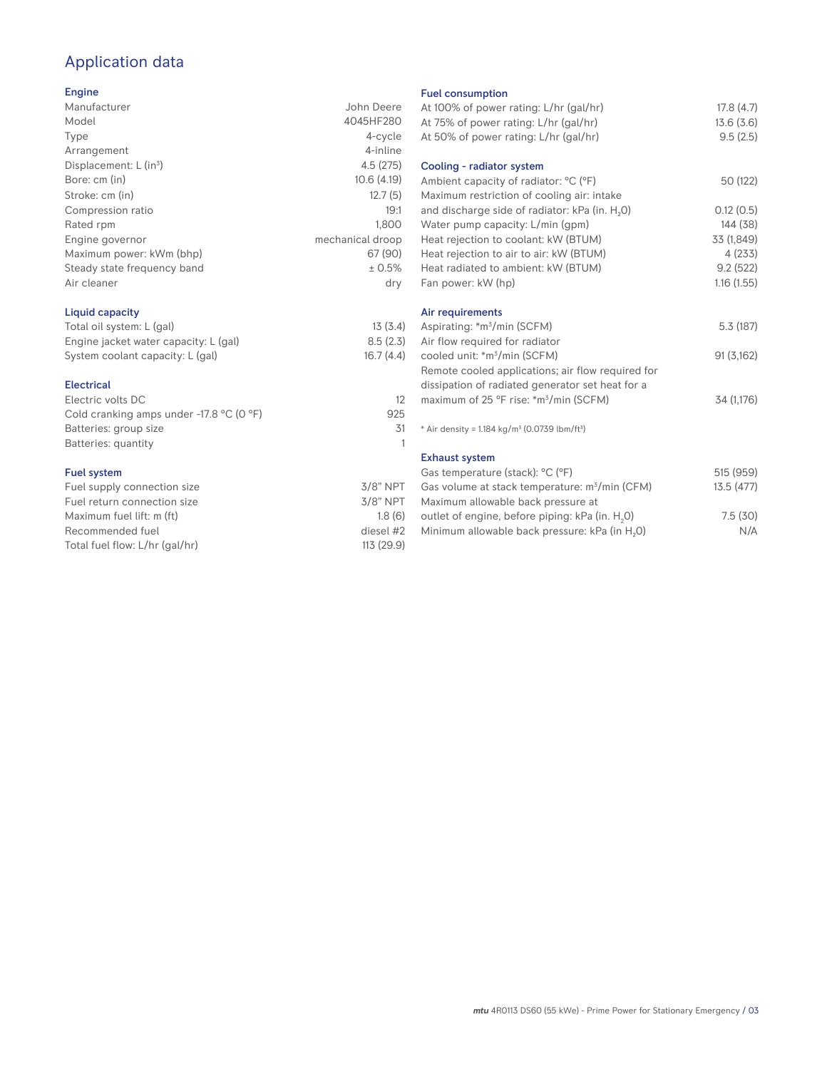# Application data

#### Engine

| Manufacturer                         | John Deere       |
|--------------------------------------|------------------|
| Model                                | 4045HF280        |
| Type                                 | 4-cycle          |
| Arrangement                          | 4-inline         |
| Displacement: $L$ (in <sup>3</sup> ) | 4.5(275)         |
| Bore: cm (in)                        | 10.6(4.19)       |
| Stroke: cm (in)                      | 12.7(5)          |
| Compression ratio                    | 19:1             |
| Rated rpm                            | 1,800            |
| Engine governor                      | mechanical droop |
| Maximum power: kWm (bhp)             | 67 (90)          |
| Steady state frequency band          | ± 0.5%           |
| Air cleaner                          | dry              |
|                                      |                  |

## Liquid capacity

| Total oil system: L (gal)             | 13(3.4)   |
|---------------------------------------|-----------|
| Engine jacket water capacity: L (gal) | 8.5(2.3)  |
| System coolant capacity: L (gal)      | 16.7(4.4) |

#### Electrical

| Electric volts DC                                            |     |
|--------------------------------------------------------------|-----|
| Cold cranking amps under -17.8 $^{\circ}$ C (O $^{\circ}$ F) | 925 |
| Batteries: group size                                        | .31 |
| Batteries: quantity                                          |     |
|                                                              |     |

#### Fuel system

| $3/8"$ NPT  |
|-------------|
| $3/8$ " NPT |
| 1.8(6)      |
| diesel #2   |
| 113 (29.9)  |
|             |

#### Fuel consumption

| At 100% of power rating: L/hr (gal/hr)                                | 17.8(4.7)  |
|-----------------------------------------------------------------------|------------|
| At 75% of power rating: L/hr (gal/hr)                                 | 13.6(3.6)  |
| At 50% of power rating: L/hr (gal/hr)                                 | 9.5(2.5)   |
|                                                                       |            |
| Cooling - radiator system                                             |            |
| Ambient capacity of radiator: °C (°F)                                 | 50 (122)   |
| Maximum restriction of cooling air: intake                            |            |
| and discharge side of radiator: kPa (in. H <sub>2</sub> O)            | 0.12(0.5)  |
| Water pump capacity: L/min (gpm)                                      | 144 (38)   |
| Heat rejection to coolant: kW (BTUM)                                  | 33 (1,849) |
| Heat rejection to air to air: kW (BTUM)                               | 4 (233)    |
| Heat radiated to ambient: kW (BTUM)                                   | 9.2(522)   |
| Fan power: kW (hp)                                                    | 1.16(1.55) |
|                                                                       |            |
| Air requirements                                                      |            |
| Aspirating: *m <sup>3</sup> /min (SCFM)                               | 5.3 (187)  |
| Air flow required for radiator                                        |            |
| cooled unit: *m <sup>3</sup> /min (SCFM)                              | 91 (3,162) |
| Remote cooled applications; air flow required for                     |            |
| dissipation of radiated generator set heat for a                      |            |
| maximum of 25 °F rise: *m <sup>3</sup> /min (SCFM)                    | 34 (1,176) |
|                                                                       |            |
| * Air density = 1.184 kg/m <sup>3</sup> (0.0739 lbm/ft <sup>3</sup> ) |            |
|                                                                       |            |
| <b>Exhaust system</b>                                                 |            |
| Gas temperature (stack): °C (°F)                                      | 515 (959)  |
| Gas volume at stack temperature: m <sup>3</sup> /min (CFM)            | 13.5 (477) |
| Maximum allowable back pressure at                                    |            |
| outlet of engine, before piping: kPa (in. H <sub>2</sub> 0)           | 7.5(30)    |
|                                                                       |            |

Minimum allowable back pressure: kPa (in  $H_2O$ ) N/A

*mtu* 4R0113 DS60 (55 kWe) - Prime Power for Stationary Emergency / 03